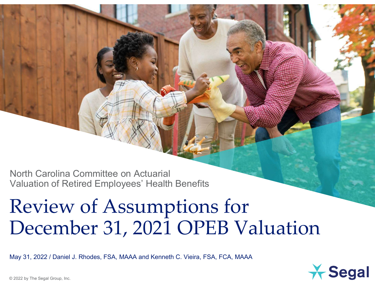North Carolina Committee on Actuarial Valuation of Retired Employees' Health Benefits

# Review of Assumptions for December 31, 2021 OPEB Valuation<br>May 31, 2022 / Daniel J. Rhodes, FSA, MAAA and Kenneth C. Vieira, FSA, FCA, MAAA<br>  $\mathcal{H}$  Segal

May 31, 2022 / Daniel J. Rhodes, FSA, MAAA and Kenneth C. Vieira, FSA, FCA, MAAA

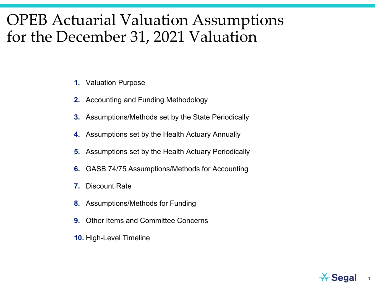# OPEB Actuarial Valuation Assumptions OPEB Actuarial Valuation Assumptions<br>for the December 31, 2021 Valuation

- 1. Valuation Purpose
- 2. Accounting and Funding Methodology
- 3. Assumptions/Methods set by the State Periodically 1. Valuation Purpose<br>
2. Accounting and Funding Methodology<br>
3. Assumptions/Methods set by the State Periodically<br>
4. Assumptions set by the Health Actuary Annually<br>
5. Assumptions set by the Health Actuary Periodically<br>
6
- 4. Assumptions set by the Health Actuary Annually
- 5. Assumptions set by the Health Actuary Periodically
- 
- 7. Discount Rate
- 8. Assumptions/Methods for Funding
- 9. Other Items and Committee Concerns
- 10. High-Level Timeline

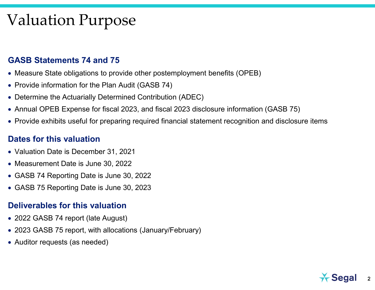# Valuation Purpose

#### GASB Statements 74 and 75

- Measure State obligations to provide other postemployment benefits (OPEB)
- Provide information for the Plan Audit (GASB 74)
- Determine the Actuarially Determined Contribution (ADEC)
- Annual OPEB Expense for fiscal 2023, and fiscal 2023 disclosure information (GASB 75)
- Provide exhibits useful for preparing required financial statement recognition and disclosure items

#### Dates for this valuation

- Valuation Date is December 31, 2021
- Measurement Date is June 30, 2022
- GASB 74 Reporting Date is June 30, 2022
- GASB 75 Reporting Date is June 30, 2023

#### Deliverables for this valuation

- 2022 GASB 74 report (late August)
- 2023 GASB 75 report, with allocations (January/February)
- Auditor requests (as needed)

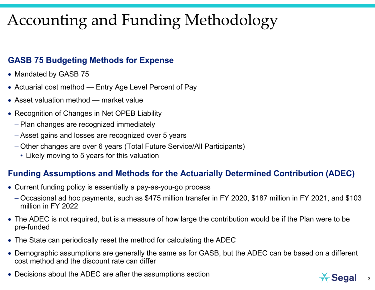# Accounting and Funding Methodolog<br>
GASB 75 Budgeting Methods for Expense<br>• Mandated by GASB 75<br>• Actuarial cost method — Entry Age Level Percent of Pay<br>• Asset valuation method — market value<br>• Recognition of Changes in Ne Accounting and Funding Methodolo<br>
GASB 75 Budgeting Methods for Expense<br>
• Mandated by GASB 75<br>
• Actuarial cost method — Entry Age Level Percent of Pay<br>
• Asset valuation method — market value<br>
• Recognition of Changes in Accounting and Funding Methodology

#### GASB 75 Budgeting Methods for Expense

- Mandated by GASB 75
- 
- 
- Recognition of Changes in Net OPEB Liability
	- Plan changes are recognized immediately
	- Asset gains and losses are recognized over 5 years
	- Other changes are over 6 years (Total Future Service/All Participants)
		- Likely moving to 5 years for this valuation

#### Funding Assumptions and Methods for the Actuarially Determined Contribution (ADEC)

- Current funding policy is essentially a pay-as-you-go process
	- Occasional ad hoc payments, such as \$475 million transfer in FY 2020, \$187 million in FY 2021, and \$103 million in FY 2022
- The ADEC is not required, but is a measure of how large the contribution would be if the Plan were to be pre-funded
- The State can periodically reset the method for calculating the ADEC
- Demographic assumptions are generally the same as for GASB, but the ADEC can be based on a different cost method and the discount rate can differ
- Decisions about the ADEC are after the assumptions section

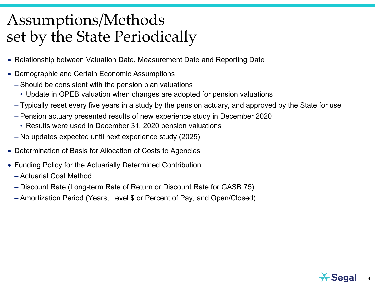# • Update in Open changes are adopted for pensions and the State of Dy the State Periodically<br>
• Relationship between Valuation Date, Measurement Date and Reporting Date<br>
• Demographic and Certain Economic Assumptions<br>
• Up **SSUMPTIONS/Methods**<br> **et by the State Periodically**<br> **Relationship between Valuation Date**, Measurement Date and Reporting Date<br>
Demographic and Certain Economic Assumptions<br>
- Should be consistent with the pension plan v Assumptions/Methods set by the State Periodically

- Relationship between Valuation Date, Measurement Date and Reporting Date
- Demographic and Certain Economic Assumptions
	- Should be consistent with the pension plan valuations
		-
	-
	- Pension actuary presented results of new experience study in December 2020
		-
	-
- Determination of Basis for Allocation of Costs to Agencies
- Funding Policy for the Actuarially Determined Contribution
	- Actuarial Cost Method
	- Discount Rate (Long-term Rate of Return or Discount Rate for GASB 75)
	- Amortization Period (Years, Level \$ or Percent of Pay, and Open/Closed)

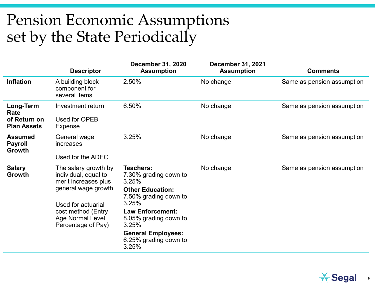## Pension Economic Assumptions set by the State Periodically

| <b>Descriptor</b>                                                                                                                                                                        | <b>December 31, 2020</b><br><b>Assumption</b>                                                                                                                                                                                               | <b>December 31, 2021</b><br><b>Assumption</b> | <b>Comments</b>                                                      |
|------------------------------------------------------------------------------------------------------------------------------------------------------------------------------------------|---------------------------------------------------------------------------------------------------------------------------------------------------------------------------------------------------------------------------------------------|-----------------------------------------------|----------------------------------------------------------------------|
| A building block<br>component for<br>several items                                                                                                                                       | 2.50%                                                                                                                                                                                                                                       | No change                                     | Same as pension assumption                                           |
| Investment return<br><b>Used for OPEB</b><br>Expense                                                                                                                                     | 6.50%                                                                                                                                                                                                                                       | No change                                     | Same as pension assumption                                           |
| General wage<br>increases<br>Used for the ADEC                                                                                                                                           | 3.25%                                                                                                                                                                                                                                       | No change                                     | Same as pension assumption                                           |
| The salary growth by<br>individual, equal to<br>merit increases plus<br>general wage growth<br>Used for actuarial<br>cost method (Entry<br><b>Age Normal Level</b><br>Percentage of Pay) | <b>Teachers:</b><br>7.30% grading down to<br>3.25%<br><b>Other Education:</b><br>7.50% grading down to<br>3.25%<br><b>Law Enforcement:</b><br>8.05% grading down to<br>3.25%<br><b>General Employees:</b><br>6.25% grading down to<br>3.25% | No change                                     | Same as pension assumption                                           |
|                                                                                                                                                                                          |                                                                                                                                                                                                                                             |                                               | <b>Pension Economic Assumptions</b><br>set by the State Periodically |

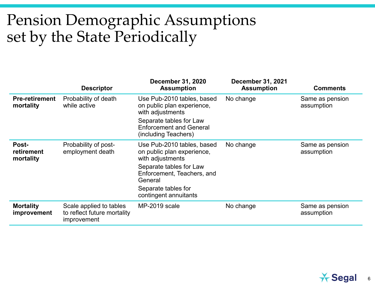## Pension Demographic Assumptions set by the State Periodically

|                                    | set by the State Periodically                                         | Pension Demographic Assumptions                                                   |                                               |                               |
|------------------------------------|-----------------------------------------------------------------------|-----------------------------------------------------------------------------------|-----------------------------------------------|-------------------------------|
|                                    | <b>Descriptor</b>                                                     | <b>December 31, 2020</b><br><b>Assumption</b>                                     | <b>December 31, 2021</b><br><b>Assumption</b> | <b>Comments</b>               |
| <b>Pre-retirement</b><br>mortality | Probability of death<br>while active                                  | Use Pub-2010 tables, based<br>on public plan experience,<br>with adjustments      | No change                                     | Same as pension<br>assumption |
|                                    |                                                                       | Separate tables for Law<br><b>Enforcement and General</b><br>(including Teachers) |                                               |                               |
| Post-<br>retirement<br>mortality   | Probability of post-<br>employment death                              | Use Pub-2010 tables, based<br>on public plan experience,<br>with adjustments      | No change                                     | Same as pension<br>assumption |
|                                    |                                                                       | Separate tables for Law<br>Enforcement, Teachers, and<br>General                  |                                               |                               |
|                                    |                                                                       | Separate tables for<br>contingent annuitants                                      |                                               |                               |
| <b>Mortality</b><br>improvement    | Scale applied to tables<br>to reflect future mortality<br>improvement | MP-2019 scale                                                                     | No change                                     | Same as pension<br>assumption |

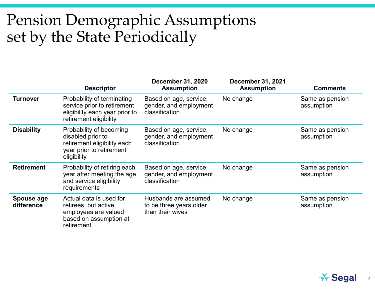# Pension Demographic Assumptions set by the State Periodically

|                          | set by the State Periodically                                                                                          |                                                                     |                                               |                               |
|--------------------------|------------------------------------------------------------------------------------------------------------------------|---------------------------------------------------------------------|-----------------------------------------------|-------------------------------|
|                          | <b>Descriptor</b>                                                                                                      | <b>December 31, 2020</b><br><b>Assumption</b>                       | <b>December 31, 2021</b><br><b>Assumption</b> | <b>Comments</b>               |
| <b>Turnover</b>          | Probability of terminating<br>service prior to retirement<br>eligibility each year prior to<br>retirement eligibility  | Based on age, service,<br>gender, and employment<br>classification  | No change                                     | Same as pension<br>assumption |
| <b>Disability</b>        | Probability of becoming<br>disabled prior to<br>retirement eligibility each<br>year prior to retirement<br>eligibility | Based on age, service,<br>gender, and employment<br>classification  | No change                                     | Same as pension<br>assumption |
| <b>Retirement</b>        | Probability of retiring each<br>year after meeting the age<br>and service eligibility<br>requirements                  | Based on age, service,<br>gender, and employment<br>classification  | No change                                     | Same as pension<br>assumption |
| Spouse age<br>difference | Actual data is used for<br>retirees, but active<br>employees are valued<br>based on assumption at<br>retirement        | Husbands are assumed<br>to be three years older<br>than their wives | No change                                     | Same as pension<br>assumption |
|                          |                                                                                                                        |                                                                     |                                               |                               |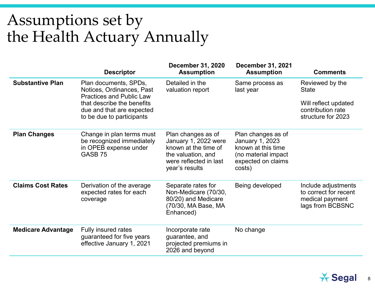# Assumptions set by the Health Actuary Annually

| <b>December 31, 2020</b><br><b>December 31, 2021</b><br><b>Descriptor</b><br><b>Comments</b><br><b>Assumption</b><br><b>Assumption</b><br>Plan documents, SPDs,<br>Detailed in the<br>Reviewed by the<br>Same process as<br>Notices, Ordinances, Past<br>valuation report<br><b>State</b><br>last year<br><b>Practices and Public Law</b><br>that describe the benefits<br>contribution rate<br>due and that are expected<br>structure for 2023<br>to be due to participants<br>Change in plan terms must<br>Plan changes as of<br>Plan changes as of<br>be recognized immediately<br>January 1, 2022 were<br>January 1, 2023<br>known at the time of<br>in OPEB expense under<br>known at this time<br>GASB 75<br>the valuation, and<br>(no material impact<br>expected on claims<br>were reflected in last<br>year's results<br>costs)<br>Separate rates for<br>Being developed<br>Derivation of the average<br>expected rates for each<br>Non-Medicare (70/30,<br>80/20) and Medicare<br>medical payment<br>coverage<br>(70/30, MA Base, MA<br>Enhanced)<br>Fully insured rates<br>No change<br>Incorporate rate<br>guaranteed for five years<br>guarantee, and<br>effective January 1, 2021<br>projected premiums in |                           |                 |                                                                  |
|--------------------------------------------------------------------------------------------------------------------------------------------------------------------------------------------------------------------------------------------------------------------------------------------------------------------------------------------------------------------------------------------------------------------------------------------------------------------------------------------------------------------------------------------------------------------------------------------------------------------------------------------------------------------------------------------------------------------------------------------------------------------------------------------------------------------------------------------------------------------------------------------------------------------------------------------------------------------------------------------------------------------------------------------------------------------------------------------------------------------------------------------------------------------------------------------------------------------------|---------------------------|-----------------|------------------------------------------------------------------|
|                                                                                                                                                                                                                                                                                                                                                                                                                                                                                                                                                                                                                                                                                                                                                                                                                                                                                                                                                                                                                                                                                                                                                                                                                          |                           |                 |                                                                  |
|                                                                                                                                                                                                                                                                                                                                                                                                                                                                                                                                                                                                                                                                                                                                                                                                                                                                                                                                                                                                                                                                                                                                                                                                                          | <b>Substantive Plan</b>   |                 |                                                                  |
|                                                                                                                                                                                                                                                                                                                                                                                                                                                                                                                                                                                                                                                                                                                                                                                                                                                                                                                                                                                                                                                                                                                                                                                                                          |                           |                 | Will reflect updated                                             |
|                                                                                                                                                                                                                                                                                                                                                                                                                                                                                                                                                                                                                                                                                                                                                                                                                                                                                                                                                                                                                                                                                                                                                                                                                          | <b>Plan Changes</b>       |                 |                                                                  |
|                                                                                                                                                                                                                                                                                                                                                                                                                                                                                                                                                                                                                                                                                                                                                                                                                                                                                                                                                                                                                                                                                                                                                                                                                          | <b>Claims Cost Rates</b>  |                 | Include adjustments<br>to correct for recent<br>lags from BCBSNC |
|                                                                                                                                                                                                                                                                                                                                                                                                                                                                                                                                                                                                                                                                                                                                                                                                                                                                                                                                                                                                                                                                                                                                                                                                                          | <b>Medicare Advantage</b> | 2026 and beyond |                                                                  |

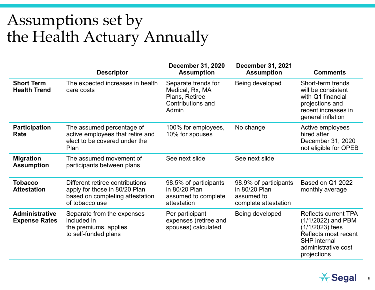# Assumptions set by the Health Actuary Annually

|                                               | <b>Descriptor</b>                                                                                                     | <b>December 31, 2020</b><br><b>Assumption</b>                                          | <b>December 31, 2021</b><br><b>Assumption</b>                                | <b>Comments</b>                                                                                                                                           |
|-----------------------------------------------|-----------------------------------------------------------------------------------------------------------------------|----------------------------------------------------------------------------------------|------------------------------------------------------------------------------|-----------------------------------------------------------------------------------------------------------------------------------------------------------|
| <b>Short Term</b><br><b>Health Trend</b>      | The expected increases in health<br>care costs                                                                        | Separate trends for<br>Medical, Rx, MA<br>Plans, Retiree<br>Contributions and<br>Admin | Being developed                                                              | Short-term trends<br>will be consistent<br>with Q1 financial<br>projections and<br>recent increases in<br>general inflation                               |
| <b>Participation</b><br>Rate                  | The assumed percentage of<br>active employees that retire and<br>elect to be covered under the<br>Plan                | 100% for employees,<br>10% for spouses                                                 | No change                                                                    | Active employees<br>hired after<br>December 31, 2020<br>not eligible for OPEB                                                                             |
| <b>Migration</b><br><b>Assumption</b>         | The assumed movement of<br>participants between plans                                                                 | See next slide                                                                         | See next slide                                                               |                                                                                                                                                           |
| <b>Tobacco</b><br><b>Attestation</b>          | Different retiree contributions<br>apply for those in 80/20 Plan<br>based on completing attestation<br>of tobacco use | 98.5% of participants<br>in 80/20 Plan<br>assumed to complete<br>attestation           | 98.9% of participants<br>in 80/20 Plan<br>assumed to<br>complete attestation | Based on Q1 2022<br>monthly average                                                                                                                       |
| <b>Administrative</b><br><b>Expense Rates</b> | Separate from the expenses<br>included in<br>the premiums, applies<br>to self-funded plans                            | Per participant<br>expenses (retiree and<br>spouses) calculated                        | Being developed                                                              | <b>Reflects current TPA</b><br>(1/1/2022) and PBM<br>(1/1/2023) fees<br>Reflects most recent<br><b>SHP</b> internal<br>administrative cost<br>projections |

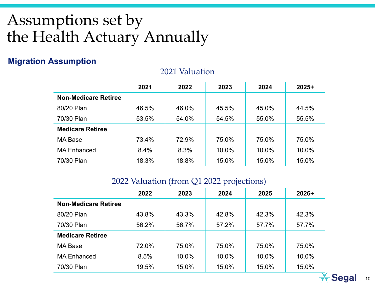# Assumptions set by the Health Actuary Annually Assumptions set by<br>the Health Actuary Annually<br>Migration Assumption<br>2021 Valuat

| ptions set by<br>alth Actuary Annually |                  |                                           |       |       |         |  |
|----------------------------------------|------------------|-------------------------------------------|-------|-------|---------|--|
| ssumption                              |                  |                                           |       |       |         |  |
|                                        |                  | 2021 Valuation                            |       |       |         |  |
|                                        | 2021             | 2022                                      | 2023  | 2024  | $2025+$ |  |
| <b>Non-Medicare Retiree</b>            |                  |                                           |       |       |         |  |
| 80/20 Plan                             | 46.5%            | 46.0%                                     | 45.5% | 45.0% | 44.5%   |  |
| 70/30 Plan                             | 53.5%            | 54.0%                                     | 54.5% | 55.0% | 55.5%   |  |
| <b>Medicare Retiree</b>                |                  |                                           |       |       |         |  |
| <b>MA Base</b>                         | 73.4%            | 72.9%                                     | 75.0% | 75.0% | 75.0%   |  |
| <b>MA Enhanced</b>                     | 8.4%             | 8.3%                                      | 10.0% | 10.0% | 10.0%   |  |
| 70/30 Plan                             | 18.3%            | 18.8%                                     | 15.0% | 15.0% | 15.0%   |  |
|                                        |                  | 2022 Valuation (from Q1 2022 projections) |       |       |         |  |
|                                        | 2022             | 2023                                      | 2024  | 2025  | 2026+   |  |
| <b>Non-Medicare Retiree</b>            |                  |                                           |       |       |         |  |
| 80/20 Plan                             | 43.8%            | 43.3%                                     | 42.8% | 42.3% | 42.3%   |  |
| 70/30 Plan                             | 56.2%            | 56.7%                                     | 57.2% | 57.7% | 57.7%   |  |
| <b>Medicare Retiree</b>                |                  |                                           |       |       |         |  |
| MA Dooo                                | 700 <sub>0</sub> | 7500                                      | 7500  | 7500  | 7500    |  |

#### 2021 Valuation

#### 2022 Valuation (from Q1 2022 projections)

| 80/20 Plan                  | 46.5%                                     | 46.0% | 45.5% | 45.0% | 44.5% |  |
|-----------------------------|-------------------------------------------|-------|-------|-------|-------|--|
| 70/30 Plan                  | 53.5%                                     | 54.0% | 54.5% | 55.0% | 55.5% |  |
| <b>Medicare Retiree</b>     |                                           |       |       |       |       |  |
| <b>MA Base</b>              | 73.4%                                     | 72.9% | 75.0% | 75.0% | 75.0% |  |
| <b>MA Enhanced</b>          | 8.4%                                      | 8.3%  | 10.0% | 10.0% | 10.0% |  |
| 70/30 Plan                  | 18.3%                                     | 18.8% | 15.0% | 15.0% | 15.0% |  |
|                             |                                           |       |       |       |       |  |
|                             | 2022 Valuation (from Q1 2022 projections) |       |       |       |       |  |
|                             | 2022                                      | 2023  | 2024  | 2025  | 2026+ |  |
| <b>Non-Medicare Retiree</b> |                                           |       |       |       |       |  |
| 80/20 Plan                  | 43.8%                                     | 43.3% | 42.8% | 42.3% | 42.3% |  |
| 70/30 Plan                  | 56.2%                                     | 56.7% | 57.2% | 57.7% | 57.7% |  |
| <b>Medicare Retiree</b>     |                                           |       |       |       |       |  |
| <b>MA Base</b>              | 72.0%                                     | 75.0% | 75.0% | 75.0% | 75.0% |  |
| <b>MA Enhanced</b>          | 8.5%                                      | 10.0% | 10.0% | 10.0% | 10.0% |  |
| 70/30 Plan                  | 19.5%                                     | 15.0% | 15.0% | 15.0% | 15.0% |  |
|                             |                                           |       |       |       |       |  |
|                             |                                           |       |       |       |       |  |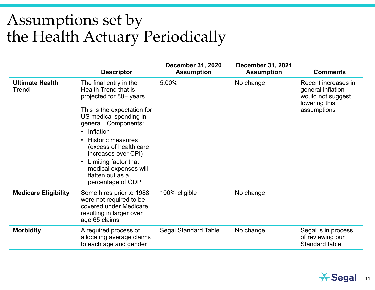# Assumptions set by the Health Actuary Periodically

|                                        | <b>Descriptor</b>                                                                                                                                                                                                                                                                                                                           | <b>December 31, 2020</b><br><b>Assumption</b> | <b>December 31, 2021</b><br><b>Assumption</b> | <b>Comments</b>                                                                               |
|----------------------------------------|---------------------------------------------------------------------------------------------------------------------------------------------------------------------------------------------------------------------------------------------------------------------------------------------------------------------------------------------|-----------------------------------------------|-----------------------------------------------|-----------------------------------------------------------------------------------------------|
| <b>Ultimate Health</b><br><b>Trend</b> | The final entry in the<br>Health Trend that is<br>projected for 80+ years<br>This is the expectation for<br>US medical spending in<br>general. Components:<br>• Inflation<br>• Historic measures<br>(excess of health care<br>increases over CPI)<br>Limiting factor that<br>medical expenses will<br>flatten out as a<br>percentage of GDP | 5.00%                                         | No change                                     | Recent increases in<br>general inflation<br>would not suggest<br>lowering this<br>assumptions |
| <b>Medicare Eligibility</b>            | Some hires prior to 1988<br>were not required to be<br>covered under Medicare,<br>resulting in larger over<br>age 65 claims                                                                                                                                                                                                                 | 100% eligible                                 | No change                                     |                                                                                               |
| <b>Morbidity</b>                       | A required process of<br>allocating average claims<br>to each age and gender                                                                                                                                                                                                                                                                | <b>Segal Standard Table</b>                   | No change                                     | Segal is in process<br>of reviewing our<br>Standard table                                     |

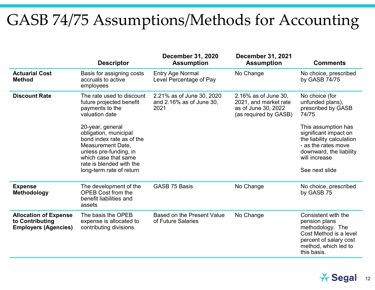# GASB 74/75 Assumptions/Methods for Accounting

|                                                                                | <b>Descriptor</b>                                                                                                                                                         | <b>December 31, 2020</b><br><b>Assumption</b>                 | <b>December 31, 2021</b><br><b>Assumption</b>                                                 | <b>Comments</b>                                                                                                                                     |
|--------------------------------------------------------------------------------|---------------------------------------------------------------------------------------------------------------------------------------------------------------------------|---------------------------------------------------------------|-----------------------------------------------------------------------------------------------|-----------------------------------------------------------------------------------------------------------------------------------------------------|
| <b>Actuarial Cost</b><br><b>Method</b>                                         | Basis for assigning costs<br>accruals to active<br>employees                                                                                                              | <b>Entry Age Normal</b><br>Level Percentage of Pay            | No Change                                                                                     | No choice, prescribed<br>by GASB 74/75                                                                                                              |
| <b>Discount Rate</b>                                                           | The rate used to discount<br>future projected benefit<br>payments to the<br>valuation date                                                                                | 2.21% as of June 30, 2020<br>and 2.16% as of June 30,<br>2021 | 2.16% as of June 30,<br>2021, and market rate<br>as of June 30, 2022<br>(as required by GASB) | No choice (for<br>unfunded plans),<br>prescribed by GASB<br>74/75                                                                                   |
|                                                                                | 20-year, general<br>obligation, municipal<br>bond index rate as of the<br>Measurement Date,<br>unless pre-funding, in<br>which case that same<br>rate is blended with the |                                                               |                                                                                               | This assumption has<br>significant impact on<br>the liability calculation<br>- as the rates move<br>downward, the liability<br>will increase        |
|                                                                                | long-term rate of return                                                                                                                                                  |                                                               |                                                                                               | See next slide                                                                                                                                      |
| <b>Expense</b><br><b>Methodology</b>                                           | The development of the<br><b>OPEB Cost from the</b><br>benefit liabilities and<br>assets                                                                                  | <b>GASB 75 Basis</b>                                          | No Change                                                                                     | No choice, prescribed<br>by GASB 75                                                                                                                 |
| <b>Allocation of Expense</b><br>to Contributing<br><b>Employers (Agencies)</b> | The basis the OPEB<br>expense is allocated to<br>contributing divisions.                                                                                                  | Based on the Present Value<br>of Future Salaries              | No Change                                                                                     | Consistent with the<br>pension plans<br>methodology. The<br>Cost Method is a level<br>percent of salary cost<br>method, which led to<br>this basis. |
|                                                                                |                                                                                                                                                                           |                                                               |                                                                                               |                                                                                                                                                     |
|                                                                                |                                                                                                                                                                           |                                                               |                                                                                               | $\star$ Segal                                                                                                                                       |

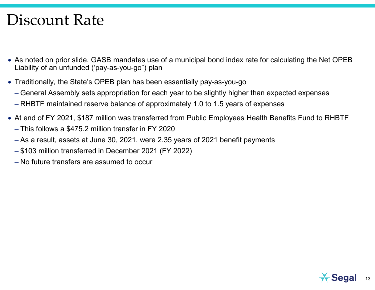### Discount Rate

- Discount Rate<br>• As noted on prior slide, GASB mandates use of a municipal bond index rate for calculating the Net OPEB<br>• Traditionally, the State's OPEB plan has been essentially pay-as-you-go<br>• Quant According the gravita Liability of an unfunded ('pay-as-you-go") plan − State on prior slide, GASB mandates use of a municipal bond index rate for calculating the Ne<br>
Liability of an unfunded ('pay-as-you-go'') plan<br>
• Traditionally, the State's OPEB plan has been essentially pay-as-you-go<br> 19 Niscount Rate<br>As noted on prior slide, GASB mandates use of a municipal bond index rate for calculating the Net OPEB<br>Liability of an unfunded ('pay-as-you-go'') plan<br>Traditionally, the State's OPEB plan has been essenti **JISCOUNT Kate**<br>As noted on prior slide, GASB mandates use of a municipal bond index rate for calculating the Net OPEI<br>Liability of an unfunded ('pay-as-you-go") plan<br>Traditionally, the State's OPEB plan has been essentia
- - General Assembly sets appropriation for each year to be slightly higher than expected expenses
	-
- At end of FY 2021, \$187 million was transferred from Public Employees Health Benefits Fund to RHBTF
	- This follows a \$475.2 million transfer in FY 2020
	-
	-
	-

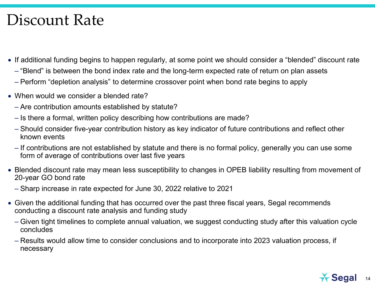### Discount Rate

- If additional funding begins to happen regularly, at some point we should consider a "blended" discount rate
	- "Blend" is between the bond index rate and the long-term expected rate of return on plan assets
	- Perform "depletion analysis" to determine crossover point when bond rate begins to apply
- When would we consider a blended rate?
	- Are contribution amounts established by statute?
	- Is there a formal, written policy describing how contributions are made?
	- Should consider five-year contribution history as key indicator of future contributions and reflect other known events
- If contributions are not established by statute and there is no formal policy, generally you can use some form of average of contributions over last five years – "Blend" is between the bond index rate and the long-term expected rate of return on plan assets<br>– Perform "depletion analysis" to determine crossover point when bond rate begins to apply<br>When would we consider a blended
- Blended discount rate may mean less susceptibility to changes in OPEB liability resulting from movement of 20-year GO bond rate
	-
- Given the additional funding that has occurred over the past three fiscal years, Segal recommends conducting a discount rate analysis and funding study – Given tight timelines to complete annual valuation, we suggest conducting study after this valuation cycle
	-
	- concludes Results would allow time to consider conclusions and to incorporate into 2023 valuation process, if necessary

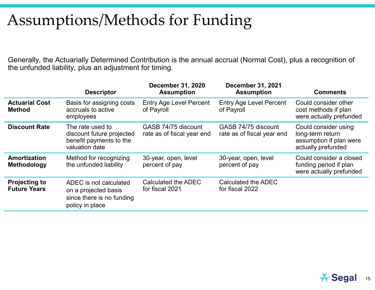# Assumptions/Methods for Funding

|                                             | Assumptions/Methods for Funding                                                                                                                                         |                                                   |                                                   |                                                                                           |
|---------------------------------------------|-------------------------------------------------------------------------------------------------------------------------------------------------------------------------|---------------------------------------------------|---------------------------------------------------|-------------------------------------------------------------------------------------------|
|                                             | Generally, the Actuarially Determined Contribution is the annual accrual (Normal Cost), plus a recognition of<br>the unfunded liability, plus an adjustment for timing. |                                                   |                                                   |                                                                                           |
|                                             | <b>Descriptor</b>                                                                                                                                                       | <b>December 31, 2020</b><br><b>Assumption</b>     | <b>December 31, 2021</b><br><b>Assumption</b>     | <b>Comments</b>                                                                           |
| <b>Actuarial Cost</b><br><b>Method</b>      | Basis for assigning costs<br>accruals to active<br>employees                                                                                                            | <b>Entry Age Level Percent</b><br>of Payroll      | <b>Entry Age Level Percent</b><br>of Payroll      | Could consider other<br>cost methods if plan<br>were actually prefunded                   |
| <b>Discount Rate</b>                        | The rate used to<br>discount future projected<br>benefit payments to the<br>valuation date                                                                              | GASB 74/75 discount<br>rate as of fiscal year end | GASB 74/75 discount<br>rate as of fiscal year end | Could consider using<br>long-term return<br>assumption if plan were<br>actually prefunded |
| Amortization<br><b>Methodology</b>          | Method for recognizing<br>the unfunded liability                                                                                                                        | 30-year, open, level<br>percent of pay            | 30-year, open, level<br>percent of pay            | Could consider a closed<br>funding period if plan<br>were actually prefunded              |
| <b>Projecting to</b><br><b>Future Years</b> | ADEC is not calculated<br>on a projected basis<br>since there is no funding<br>policy in place                                                                          | Calculated the ADEC<br>for fiscal 2021            | Calculated the ADEC<br>for fiscal 2022            |                                                                                           |
|                                             |                                                                                                                                                                         |                                                   |                                                   |                                                                                           |

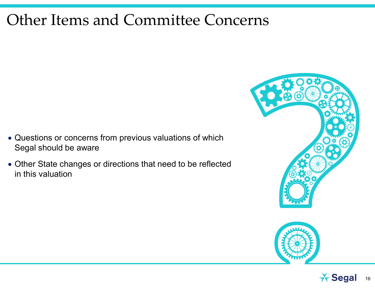## Other Items and Committee Concerns

- Questions or concerns from previous valuations of which Segal should be aware
- Other State changes or directions that need to be reflected in this valuation





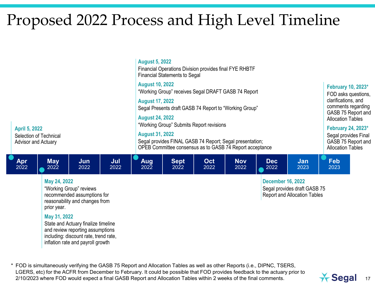# Proposed 2022 Process and High Level Timeline

| <b>August 5, 2022</b><br>Financial Operations Division provides final FYE RHBTF<br><b>Financial Statements to Segal</b><br><b>August 10, 2022</b><br>February 10, 2023*<br>"Working Group" receives Segal DRAFT GASB 74 Report<br>FOD asks questions,<br>clarifications, and<br><b>August 17, 2022</b><br>comments regarding<br>Segal Presents draft GASB 74 Report to "Working Group"<br>GASB 75 Report and<br><b>August 24, 2022</b><br><b>Allocation Tables</b><br>"Working Group" Submits Report revisions<br>February 24, 2023*<br><b>April 5, 2022</b><br><b>August 31, 2022</b><br>Segal provides Final<br>Selection of Technical<br>Segal provides FINAL GASB 74 Report; Segal presentation;<br>GASB 75 Report and<br><b>Advisor and Actuary</b><br>OPEB Committee consensus as to GASB 74 Report acceptance<br><b>Allocation Tables</b> |
|--------------------------------------------------------------------------------------------------------------------------------------------------------------------------------------------------------------------------------------------------------------------------------------------------------------------------------------------------------------------------------------------------------------------------------------------------------------------------------------------------------------------------------------------------------------------------------------------------------------------------------------------------------------------------------------------------------------------------------------------------------------------------------------------------------------------------------------------------|
| <b>May</b><br>Jul<br>Feb<br>$_{2022}^{\text{Apr}}$<br>Jun<br><b>Sept</b><br>Oct<br><b>Nov</b><br><b>Dec</b><br><b>Jan</b><br><b>Aug</b><br>2022<br>2022<br>2022<br>2022<br>2022<br>$202\overline{2}$<br>2022<br>2022<br>2023<br>2023<br>May 24, 2022<br><b>December 16, 2022</b><br>Segal provides draft GASB 75<br>"Working Group" reviews<br><b>Report and Allocation Tables</b><br>recommended assumptions for<br>reasonability and changes from<br>prior year.<br>May 31, 2022<br>State and Actuary finalize timeline<br>and review reporting assumptions<br>including: discount rate, trend rate,<br>inflation rate and payroll growth                                                                                                                                                                                                      |

#### May 31, 2022